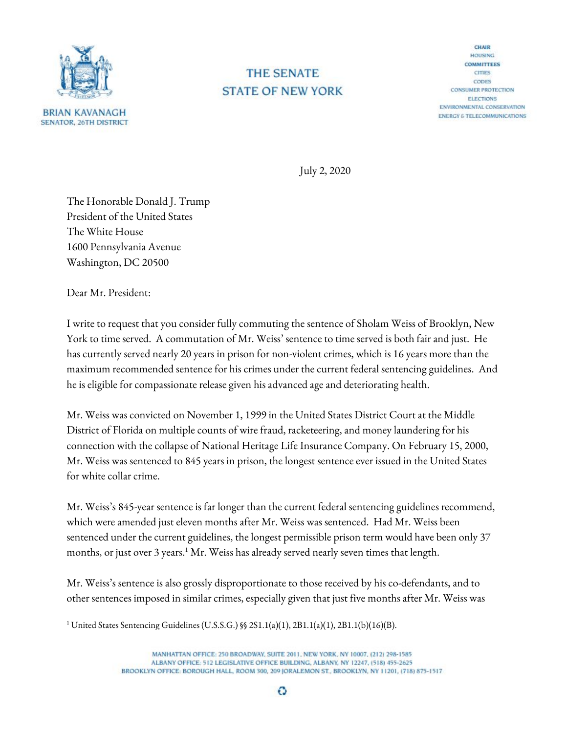

## **THE SENATE STATE OF NEW YORK**

**CHAIR** HOUSING **COMMITTEES CITIES** CODES **CONSUMER PROTECTION ELECTIONS** ENVIRONMENTAL CONSERVATION **ENERGY & TELECOMMUNICATIONS** 

July 2, 2020

The Honorable Donald J. Trump President of the United States The White House 1600 Pennsylvania Avenue Washington, DC 20500

Dear Mr. President:

I write to request that you consider fully commuting the sentence of Sholam Weiss of Brooklyn, New York to time served. A commutation of Mr. Weiss' sentence to time served is both fair and just. He has currently served nearly 20 years in prison for non-violent crimes, which is 16 years more than the maximum recommended sentence for his crimes under the current federal sentencing guidelines. And he is eligible for compassionate release given his advanced age and deteriorating health.

Mr. Weiss was convicted on November 1, 1999 in the United States District Court at the Middle District of Florida on multiple counts of wire fraud, racketeering, and money laundering for his connection with the collapse of National Heritage Life Insurance Company. On February 15, 2000, Mr. Weiss was sentenced to 845 years in prison, the longest sentence ever issued in the United States for white collar crime.

Mr. Weiss's 845-year sentence is far longer than the current federal sentencing guidelines recommend, which were amended just eleven months after Mr. Weiss was sentenced. Had Mr. Weiss been sentenced under the current guidelines, the longest permissible prison term would have been only 37 months, or just over 3 years.<sup>1</sup> Mr. Weiss has already served nearly seven times that length.

Mr. Weiss's sentence is also grossly disproportionate to those received by his co-defendants, and to other sentences imposed in similar crimes, especially given that just five months after Mr. Weiss was

<sup>&</sup>lt;sup>1</sup> United States Sentencing Guidelines (U.S.S.G.) §§ 2S1.1(a)(1), 2B1.1(a)(1), 2B1.1(b)(16)(B).

MANHATTAN OFFICE: 250 BROADWAY, SUITE 2011, NEW YORK, NY 10007, (212) 298-1585 ALBANY OFFICE: 512 LEGISLATIVE OFFICE BUILDING, ALBANY, NY 12247, (518) 455-2625 BROOKLYN OFFICE: BOROUGH HALL, ROOM 300, 209 JORALEMON ST., BROOKLYN, NY 11201, (718) 875-1517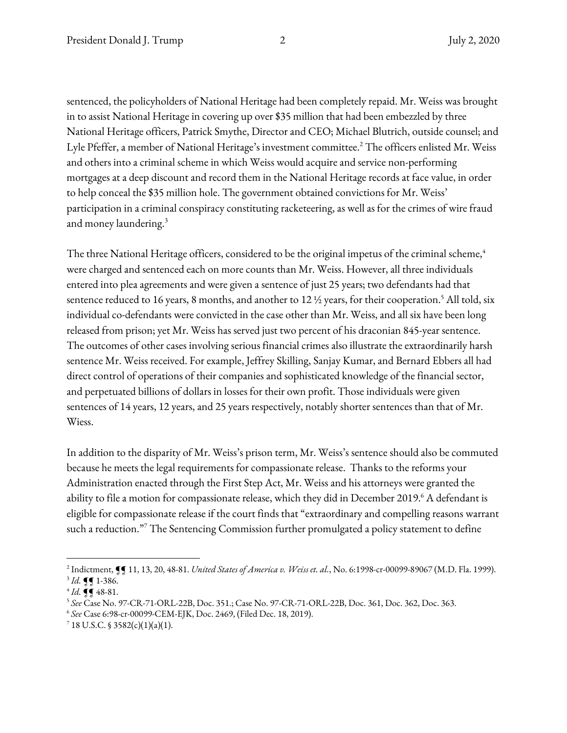sentenced, the policyholders of National Heritage had been completely repaid. Mr. Weiss was brought in to assist National Heritage in covering up over \$35 million that had been embezzled by three National Heritage officers, Patrick Smythe, Director and CEO; Michael Blutrich, outside counsel; and Lyle Pfeffer, a member of National Heritage's investment committee.<sup>2</sup> The officers enlisted Mr. Weiss and others into a criminal scheme in which Weiss would acquire and service non-performing mortgages at a deep discount and record them in the National Heritage records at face value, in order to help conceal the \$35 million hole. The government obtained convictions for Mr. Weiss' participation in a criminal conspiracy constituting racketeering, as well as for the crimes of wire fraud and money laundering. 3

The three National Heritage officers, considered to be the original impetus of the criminal scheme, $^4$ were charged and sentenced each on more counts than Mr. Weiss. However, all three individuals entered into plea agreements and were given a sentence of just 25 years; two defendants had that sentence reduced to 16 years, 8 months, and another to 12  $\frac{1}{2}$  years, for their cooperation.<sup>5</sup> All told, six individual co-defendants were convicted in the case other than Mr. Weiss, and all six have been long released from prison; yet Mr. Weiss has served just two percent of his draconian 845-year sentence. The outcomes of other cases involving serious financial crimes also illustrate the extraordinarily harsh sentence Mr. Weiss received. For example, Jeffrey Skilling, Sanjay Kumar, and Bernard Ebbers all had direct control of operations of their companies and sophisticated knowledge of the financial sector, and perpetuated billions of dollars in losses for their own profit. Those individuals were given sentences of 14 years, 12 years, and 25 years respectively, notably shorter sentences than that of Mr. Wiess.

In addition to the disparity of Mr. Weiss's prison term, Mr. Weiss's sentence should also be commuted because he meets the legal requirements for compassionate release. Thanks to the reforms your Administration enacted through the First Step Act, Mr. Weiss and his attorneys were granted the ability to file a motion for compassionate release, which they did in December 2019.<sup>6</sup> A defendant is eligible for compassionate release if the court finds that "extraordinary and compelling reasons warrant such a reduction."<sup>7</sup> The Sentencing Commission further promulgated a policy statement to define

<sup>&</sup>lt;sup>2</sup> Indictment,  $\P$  $\P$  11, 13, 20, 48-81. United States of America v. Weiss et. al., No. 6:1998-cr-00099-89067 (M.D. Fla. 1999).  $3$  Id. **[**¶ 1-386.

 $^{4}$  Id. **[[** 48-81.

<sup>5</sup> See Case No. 97-CR-71-ORL-22B, Doc. 351.; Case No. 97-CR-71-ORL-22B, Doc. 361, Doc. 362, Doc. 363.

<sup>6</sup> See Case 6:98-cr-00099-CEM-EJK, Doc. 2469, (Filed Dec. 18, 2019).

 $7$  18 U.S.C. § 3582(c)(1)(a)(1).